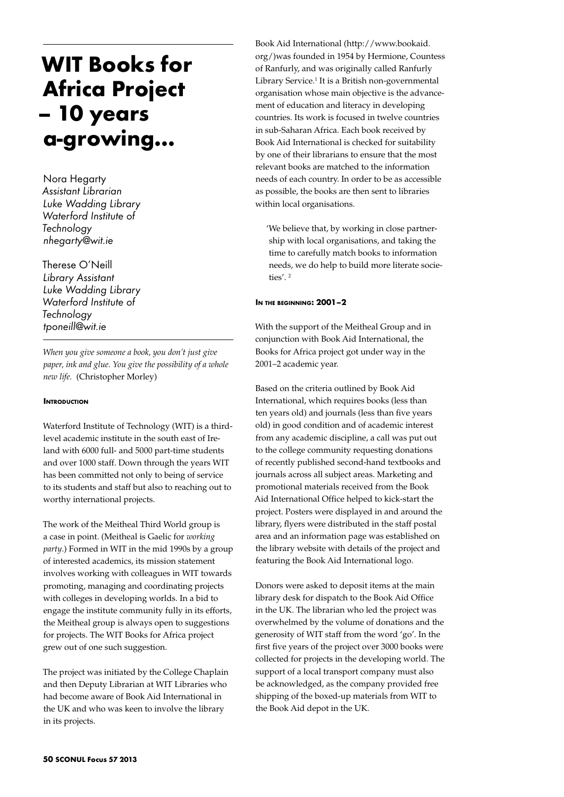# **WIT Books for Africa Project – 10 years a-growing…**

Nora Hegarty *Assistant Librarian Luke Wadding Library Waterford Institute of Technology nhegarty@wit.ie*

Therese O'Neill *Library Assistant Luke Wadding Library Waterford Institute of Technology tponeill@wit.ie*

*When you give someone a book, you don't just give paper, ink and glue. You give the possibility of a whole new life.* (Christopher Morley)

## **Introduction**

Waterford Institute of Technology (WIT) is a thirdlevel academic institute in the south east of Ireland with 6000 full- and 5000 part-time students and over 1000 staff. Down through the years WIT has been committed not only to being of service to its students and staff but also to reaching out to worthy international projects.

The work of the Meitheal Third World group is a case in point. (Meitheal is Gaelic for *working party*.) Formed in WIT in the mid 1990s by a group of interested academics, its mission statement involves working with colleagues in WIT towards promoting, managing and coordinating projects with colleges in developing worlds. In a bid to engage the institute community fully in its efforts, the Meitheal group is always open to suggestions for projects. The WIT Books for Africa project grew out of one such suggestion.

The project was initiated by the College Chaplain and then Deputy Librarian at WIT Libraries who had become aware of Book Aid International in the UK and who was keen to involve the library in its projects.

Book Aid International (http://www.bookaid. org/)was founded in 1954 by Hermione, Countess of Ranfurly, and was originally called Ranfurly Library Service.<sup>1</sup> It is a British non-governmental organisation whose main objective is the advancement of education and literacy in developing countries. Its work is focused in twelve countries in sub-Saharan Africa. Each book received by Book Aid International is checked for suitability by one of their librarians to ensure that the most relevant books are matched to the information needs of each country. In order to be as accessible as possible, the books are then sent to libraries within local organisations.

'We believe that, by working in close partnership with local organisations, and taking the time to carefully match books to information needs, we do help to build more literate societies'. 2

## **In the beginning: 2001–2**

With the support of the Meitheal Group and in conjunction with Book Aid International, the Books for Africa project got under way in the 2001–2 academic year.

Based on the criteria outlined by Book Aid International, which requires books (less than ten years old) and journals (less than five years old) in good condition and of academic interest from any academic discipline, a call was put out to the college community requesting donations of recently published second-hand textbooks and journals across all subject areas. Marketing and promotional materials received from the Book Aid International Office helped to kick-start the project. Posters were displayed in and around the library, flyers were distributed in the staff postal area and an information page was established on the library website with details of the project and featuring the Book Aid International logo.

Donors were asked to deposit items at the main library desk for dispatch to the Book Aid Office in the UK. The librarian who led the project was overwhelmed by the volume of donations and the generosity of WIT staff from the word 'go'. In the first five years of the project over 3000 books were collected for projects in the developing world. The support of a local transport company must also be acknowledged, as the company provided free shipping of the boxed-up materials from WIT to the Book Aid depot in the UK.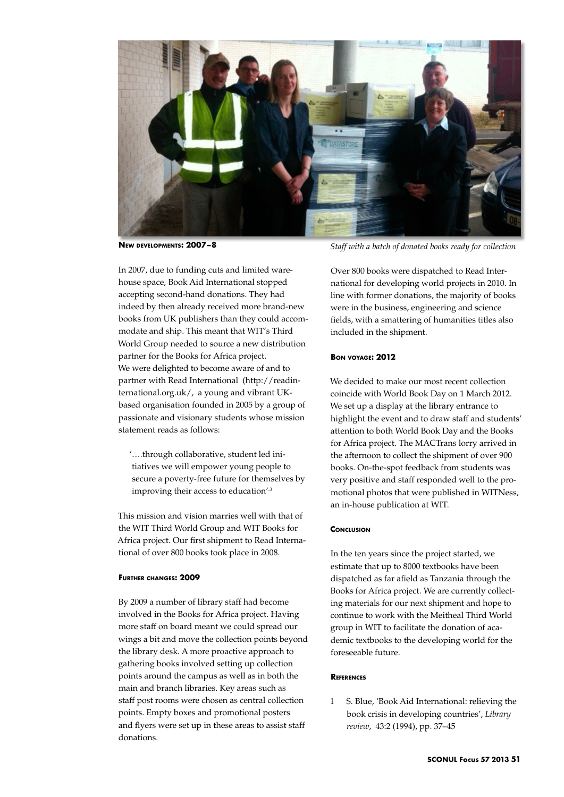

**New developments: 2007–8**

In 2007, due to funding cuts and limited warehouse space, Book Aid International stopped accepting second-hand donations. They had indeed by then already received more brand-new books from UK publishers than they could accommodate and ship. This meant that WIT's Third World Group needed to source a new distribution partner for the Books for Africa project. We were delighted to become aware of and to partner with Read International (http://readinternational.org.uk/, a young and vibrant UKbased organisation founded in 2005 by a group of passionate and visionary students whose mission statement reads as follows:

'….through collaborative, student led initiatives we will empower young people to secure a poverty-free future for themselves by improving their access to education'<sup>3</sup>

This mission and vision marries well with that of the WIT Third World Group and WIT Books for Africa project. Our first shipment to Read International of over 800 books took place in 2008.

#### **Further changes: 2009**

By 2009 a number of library staff had become involved in the Books for Africa project. Having more staff on board meant we could spread our wings a bit and move the collection points beyond the library desk. A more proactive approach to gathering books involved setting up collection points around the campus as well as in both the main and branch libraries. Key areas such as staff post rooms were chosen as central collection points. Empty boxes and promotional posters and flyers were set up in these areas to assist staff donations.

*Staff with a batch of donated books ready for collection*

Over 800 books were dispatched to Read International for developing world projects in 2010. In line with former donations, the majority of books were in the business, engineering and science fields, with a smattering of humanities titles also included in the shipment.

# **Bon voyage: 2012**

We decided to make our most recent collection coincide with World Book Day on 1 March 2012. We set up a display at the library entrance to highlight the event and to draw staff and students' attention to both World Book Day and the Books for Africa project. The MACTrans lorry arrived in the afternoon to collect the shipment of over 900 books. On-the-spot feedback from students was very positive and staff responded well to the promotional photos that were published in WITNess, an in-house publication at WIT.

# **CONCLUSION**

In the ten years since the project started, we estimate that up to 8000 textbooks have been dispatched as far afield as Tanzania through the Books for Africa project. We are currently collecting materials for our next shipment and hope to continue to work with the Meitheal Third World group in WIT to facilitate the donation of academic textbooks to the developing world for the foreseeable future.

#### **References**

1 S. Blue, 'Book Aid International: relieving the book crisis in developing countries', *Library review*, 43:2 (1994), pp. 37–45